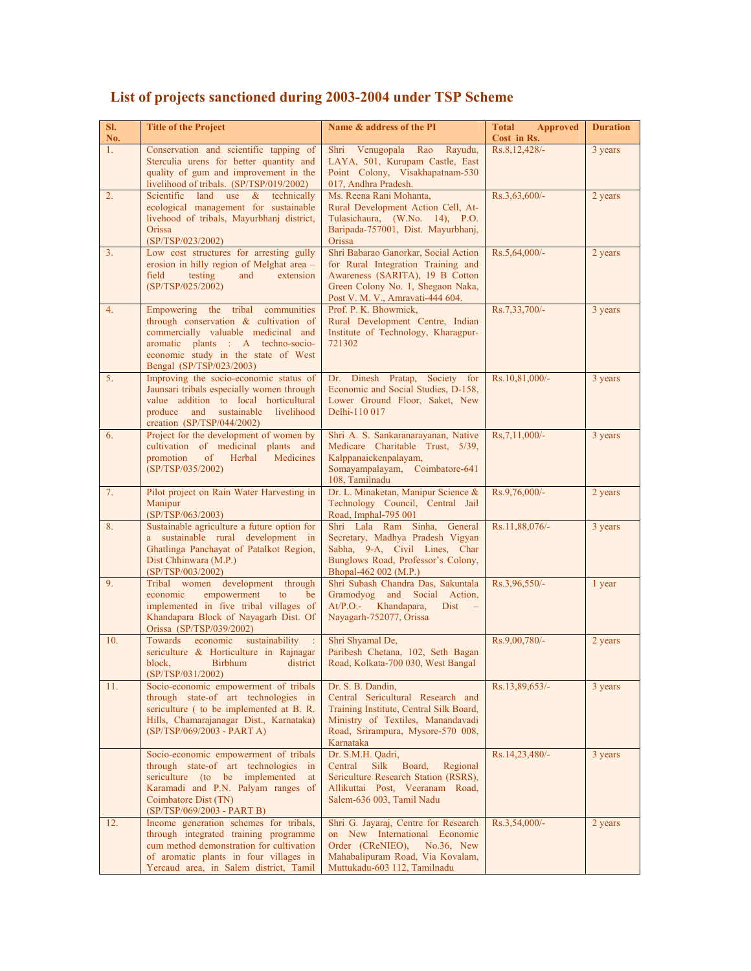| SI.<br>No. | <b>Title of the Project</b>                                                                                                                                                                                               | Name & address of the PI                                                                                                                                                                 | <b>Total Approved</b>        | <b>Duration</b> |
|------------|---------------------------------------------------------------------------------------------------------------------------------------------------------------------------------------------------------------------------|------------------------------------------------------------------------------------------------------------------------------------------------------------------------------------------|------------------------------|-----------------|
| 1.         | Conservation and scientific tapping of<br>Sterculia urens for better quantity and<br>quality of gum and improvement in the<br>livelihood of tribals. (SP/TSP/019/2002)                                                    | Shri Venugopala Rao<br>Rayudu,<br>LAYA, 501, Kurupam Castle, East<br>Point Colony, Visakhapatnam-530<br>017, Andhra Pradesh.                                                             | Cost in Rs.<br>Rs.8,12,428/- | 3 years         |
| 2.         | Scientific land use $\&$ technically<br>ecological management for sustainable<br>livehood of tribals, Mayurbhanj district,<br>Orissa<br>(SP/TSP/023/2002)                                                                 | Ms. Reena Rani Mohanta,<br>Rural Development Action Cell, At-<br>Tulasichaura, (W.No. 14), P.O.<br>Baripada-757001, Dist. Mayurbhanj,<br>Orissa                                          | $Rs.3,63,600/-$              | 2 years         |
| 3.         | Low cost structures for arresting gully<br>erosion in hilly region of Melghat area -<br>field<br>testing<br>and<br>extension<br>(SP/TSP/025/2002)                                                                         | Shri Babarao Ganorkar, Social Action<br>for Rural Integration Training and<br>Awareness (SARITA), 19 B Cotton<br>Green Colony No. 1, Shegaon Naka,<br>Post V. M. V., Amravati-444 604.   | Rs.5,64,000/-                | 2 years         |
| 4.         | Empowering the tribal communities<br>through conservation & cultivation of<br>commercially valuable medicinal and<br>aromatic plants : A techno-socio-<br>economic study in the state of West<br>Bengal (SP/TSP/023/2003) | Prof. P. K. Bhowmick,<br>Rural Development Centre, Indian<br>Institute of Technology, Kharagpur-<br>721302                                                                               | Rs.7,33,700/-                | 3 years         |
| 5.         | Improving the socio-economic status of<br>Jaunsari tribals especially women through<br>value addition to local horticultural<br>produce and sustainable livelihood<br>creation $(SP/TSP/044/2002)$                        | Dr. Dinesh Pratap, Society for<br>Economic and Social Studies, D-158,<br>Lower Ground Floor, Saket, New<br>Delhi-110 017                                                                 | Rs.10,81,000/-               | 3 years         |
| 6.         | Project for the development of women by<br>cultivation of medicinal plants and<br>promotion<br>$\sigma$<br>Herbal<br>Medicines<br>(SP/TSP/035/2002)                                                                       | Shri A. S. Sankaranarayanan, Native<br>Medicare Charitable Trust, 5/39,<br>Kalppanaickenpalayam,<br>Somayampalayam, Coimbatore-641<br>108, Tamilnadu                                     | $Rs, 7, 11, 000/-$           | 3 years         |
| 7.         | Pilot project on Rain Water Harvesting in<br>Manipur<br>(SP/TSP/063/2003)                                                                                                                                                 | Dr. L. Minaketan, Manipur Science &<br>Technology Council, Central Jail<br>Road, Imphal-795 001                                                                                          | Rs.9,76,000/-                | 2 years         |
| 8.         | Sustainable agriculture a future option for<br>a sustainable rural development in<br>Ghatlinga Panchayat of Patalkot Region,<br>Dist Chhinwara (M.P.)<br>(SP/TSP/003/2002)                                                | Shri Lala Ram Sinha, General<br>Secretary, Madhya Pradesh Vigyan<br>Sabha, 9-A, Civil Lines, Char<br>Bunglows Road, Professor's Colony,<br>Bhopal-462 002 (M.P.)                         | Rs.11,88,076/-               | 3 years         |
| 9.         | Tribal women development through<br>economic<br>empowerment<br>to<br>be<br>implemented in five tribal villages of<br>Khandapara Block of Nayagarh Dist. Of<br>Orissa (SP/TSP/039/2002)                                    | Shri Subash Chandra Das, Sakuntala<br>Gramodyog and Social Action,<br>At/P.O.- Khandapara,<br>Dist<br>Nayagarh-752077, Orissa                                                            | Rs.3,96,550/-                | 1 year          |
| 10.        | Towards economic sustainability<br>sericulture & Horticulture in Rajnagar<br>block, Birbhum district Road, Kolkata-700 030, West Bangal<br>(SP/TSP/031/2002)                                                              | Shri Shyamal De,<br>Paribesh Chetana, 102, Seth Bagan                                                                                                                                    | Rs.9,00,780/-                | 2 years         |
| 11.        | Socio-economic empowerment of tribals<br>through state-of art technologies in<br>sericulture ( to be implemented at B. R.<br>Hills, Chamarajanagar Dist., Karnataka)<br>(SP/TSP/069/2003 - PART A)                        | Dr. S. B. Dandin,<br>Central Sericultural Research and<br>Training Institute, Central Silk Board,<br>Ministry of Textiles, Manandavadi<br>Road, Srirampura, Mysore-570 008,<br>Karnataka | Rs.13,89,653/-               | 3 years         |
|            | Socio-economic empowerment of tribals<br>through state-of art technologies<br>in<br>sericulture (to be implemented<br>at<br>Karamadi and P.N. Palyam ranges of<br>Coimbatore Dist (TN)<br>(SP/TSP/069/2003 - PART B)      | Dr. S.M.H. Qadri,<br>Central<br>Silk<br>Board,<br>Regional<br>Sericulture Research Station (RSRS),<br>Allikuttai Post, Veeranam Road,<br>Salem-636 003, Tamil Nadu                       | Rs.14,23,480/-               | 3 years         |
| 12.        | Income generation schemes for tribals,<br>through integrated training programme<br>cum method demonstration for cultivation<br>of aromatic plants in four villages in<br>Yercaud area, in Salem district, Tamil           | Shri G. Jayaraj, Centre for Research<br>on New International Economic<br>Order (CReNIEO),<br>$No.36$ , New<br>Mahabalipuram Road, Via Kovalam,<br>Muttukadu-603 112, Tamilnadu           | $Rs.3,54,000/-$              | 2 years         |

## **List of projects sanctioned during 2003-2004 under TSP Scheme**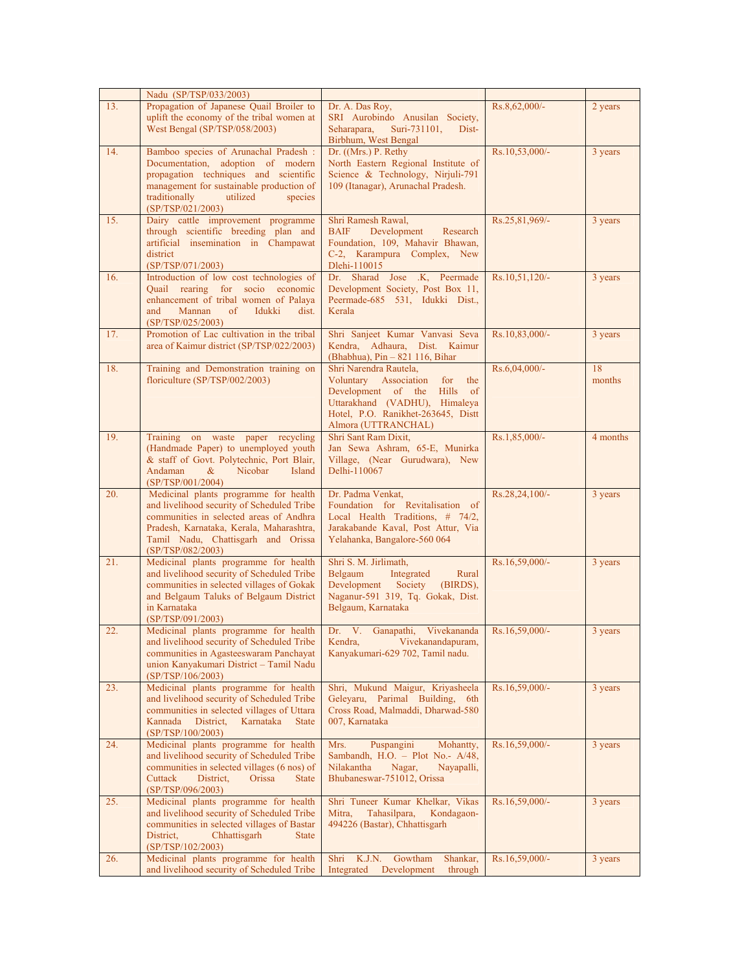|     | Nadu (SP/TSP/033/2003)                                                                                                                                                                                                                |                                                                                                                                                                                         |                |              |
|-----|---------------------------------------------------------------------------------------------------------------------------------------------------------------------------------------------------------------------------------------|-----------------------------------------------------------------------------------------------------------------------------------------------------------------------------------------|----------------|--------------|
| 13. | Propagation of Japanese Quail Broiler to<br>uplift the economy of the tribal women at<br>West Bengal (SP/TSP/058/2003)                                                                                                                | Dr. A. Das Roy.<br>SRI Aurobindo Anusilan Society,<br>Seharapara,<br>Suri-731101,<br>Dist-<br>Birbhum, West Bengal                                                                      | Rs.8,62,000/-  | 2 years      |
| 14. | Bamboo species of Arunachal Pradesh :<br>Documentation, adoption of modern<br>propagation techniques and scientific<br>management for sustainable production of<br>traditionally<br>utilized<br>species<br>(SP/TSP/021/2003)          | Dr. ((Mrs.) P. Rethy<br>North Eastern Regional Institute of<br>Science & Technology, Nirjuli-791<br>109 (Itanagar), Arunachal Pradesh.                                                  | Rs.10,53,000/- | 3 years      |
| 15. | Dairy cattle improvement programme<br>through scientific breeding plan and<br>artificial insemination in Champawat<br>district<br>(SP/TSP/071/2003)                                                                                   | Shri Ramesh Rawal.<br>Development<br>BAIF<br>Research<br>Foundation, 109, Mahavir Bhawan,<br>C-2, Karampura Complex, New<br>Dlehi-110015                                                | Rs.25,81,969/- | 3 years      |
| 16. | Introduction of low cost technologies of<br>Quail rearing for socio economic<br>enhancement of tribal women of Palaya<br>Mannan<br>and<br>of<br>Idukki<br>dist.<br>(SP/TSP/025/2003)                                                  | Dr. Sharad Jose .K, Peermade<br>Development Society, Post Box 11,<br>Peermade-685 531, Idukki Dist.,<br>Kerala                                                                          | Rs.10,51,120/- | 3 years      |
| 17. | Promotion of Lac cultivation in the tribal<br>area of Kaimur district (SP/TSP/022/2003)                                                                                                                                               | Shri Sanjeet Kumar Vanvasi Seva<br>Kendra, Adhaura, Dist. Kaimur<br>(Bhabhua), Pin - 821 116, Bihar                                                                                     | Rs.10,83,000/- | 3 years      |
| 18. | Training and Demonstration training on<br>floriculture (SP/TSP/002/2003)                                                                                                                                                              | Shri Narendra Rautela,<br>Voluntary Association for<br>the<br>Development of the Hills of<br>Uttarakhand (VADHU), Himaleya<br>Hotel, P.O. Ranikhet-263645, Distt<br>Almora (UTTRANCHAL) | Rs.6,04,000/-  | 18<br>months |
| 19. | Training on waste paper recycling<br>(Handmade Paper) to unemployed youth<br>& staff of Govt. Polytechnic, Port Blair,<br>Nicobar<br>Andaman<br>&<br>Island<br>(SP/TSP/001/2004)                                                      | Shri Sant Ram Dixit,<br>Jan Sewa Ashram, 65-E, Munirka<br>Village, (Near Gurudwara), New<br>Delhi-110067                                                                                | Rs.1,85,000/-  | 4 months     |
| 20. | Medicinal plants programme for health<br>and livelihood security of Scheduled Tribe<br>communities in selected areas of Andhra<br>Pradesh, Karnataka, Kerala, Maharashtra,<br>Tamil Nadu, Chattisgarh and Orissa<br>(SP/TSP/082/2003) | Dr. Padma Venkat,<br>Foundation for Revitalisation of<br>Local Health Traditions, # 74/2,<br>Jarakabande Kaval, Post Attur, Via<br>Yelahanka, Bangalore-560 064                         | Rs.28,24,100/- | 3 years      |
| 21. | Medicinal plants programme for health<br>and livelihood security of Scheduled Tribe<br>communities in selected villages of Gokak<br>and Belgaum Taluks of Belgaum District<br>in Karnataka<br>(SP/TSP/091/2003)                       | Shri S. M. Jirlimath,<br>Belgaum<br>Integrated<br>Rural<br>Development<br>Society<br>(BIRDS),<br>Naganur-591 319, Tq. Gokak, Dist.<br>Belgaum, Karnataka                                | Rs.16,59,000/- | 3 years      |
| 22. | Medicinal plants programme for health<br>and livelihood security of Scheduled Tribe<br>communities in Agasteeswaram Panchayat<br>union Kanyakumari District - Tamil Nadu<br>(SP/TSP/106/2003)                                         | Dr. V. Ganapathi, Vivekananda Rs.16,59,000/-<br>Vivekanandapuram,<br>Kendra,<br>Kanyakumari-629 702, Tamil nadu.                                                                        |                | 3 years      |
| 23. | Medicinal plants programme for health<br>and livelihood security of Scheduled Tribe<br>communities in selected villages of Uttara<br>Kannada<br>District,<br>Karnataka<br><b>State</b><br>(SP/TSP/100/2003)                           | Shri, Mukund Maigur, Kriyasheela<br>Geleyaru, Parimal Building, 6th<br>Cross Road, Malmaddi, Dharwad-580<br>007, Karnataka                                                              | Rs.16,59,000/- | 3 years      |
| 24. | Medicinal plants programme for health<br>and livelihood security of Scheduled Tribe<br>communities in selected villages (6 nos) of<br>Cuttack<br>District,<br>Orissa<br><b>State</b><br>(SP/TSP/096/2003)                             | Mrs.<br>Puspangini<br>Mohantty,<br>Sambandh, H.O. - Plot No.- A/48,<br>Nilakantha<br>Nagar,<br>Nayapalli,<br>Bhubaneswar-751012, Orissa                                                 | Rs.16,59,000/- | 3 years      |
| 25. | Medicinal plants programme for health<br>and livelihood security of Scheduled Tribe<br>communities in selected villages of Bastar<br>District,<br>Chhattisgarh<br><b>State</b><br>(SP/TSP/102/2003)                                   | Shri Tuneer Kumar Khelkar, Vikas<br>Mitra,<br>Tahasilpara,<br>Kondagaon-<br>494226 (Bastar), Chhattisgarh                                                                               | Rs.16,59,000/- | 3 years      |
| 26. | Medicinal plants programme for health<br>and livelihood security of Scheduled Tribe                                                                                                                                                   | Shri K.J.N.<br>Gowtham<br>Shankar,<br>Integrated<br>Development<br>through                                                                                                              | Rs.16,59,000/- | 3 years      |